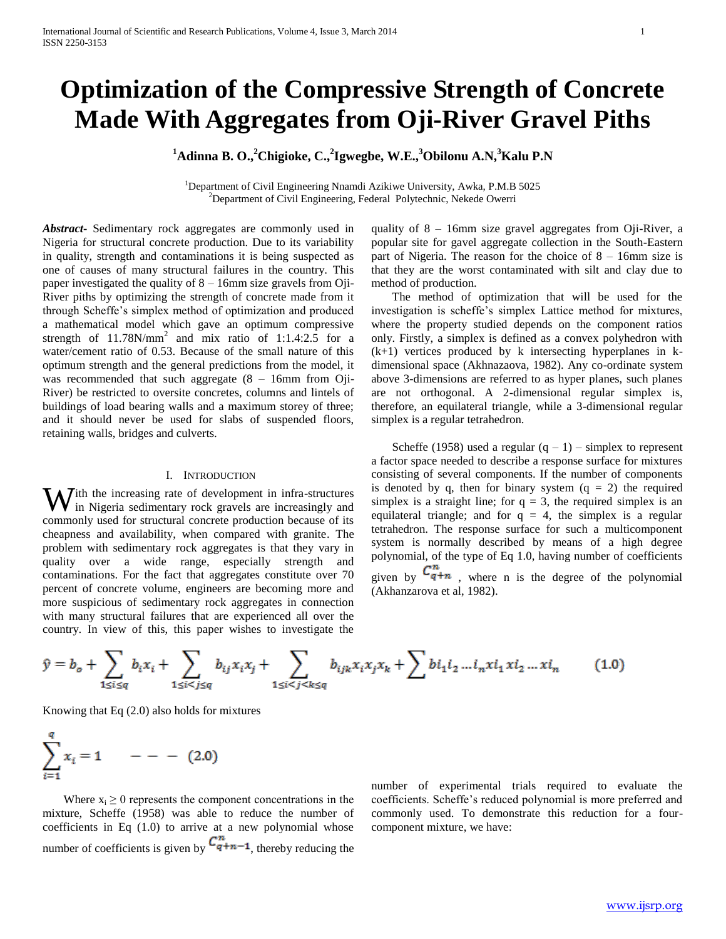# **Optimization of the Compressive Strength of Concrete Made With Aggregates from Oji-River Gravel Piths**

**<sup>1</sup>Adinna B. O.,<sup>2</sup>Chigioke, C.,<sup>2</sup> Igwegbe, W.E.,<sup>3</sup>Obilonu A.N,<sup>3</sup>Kalu P.N**

<sup>1</sup>Department of Civil Engineering Nnamdi Azikiwe University, Awka, P.M.B 5025 <sup>2</sup>Department of Civil Engineering, Federal Polytechnic, Nekede Owerri

*Abstract***-** Sedimentary rock aggregates are commonly used in Nigeria for structural concrete production. Due to its variability in quality, strength and contaminations it is being suspected as one of causes of many structural failures in the country. This paper investigated the quality of 8 – 16mm size gravels from Oji-River piths by optimizing the strength of concrete made from it through Scheffe's simplex method of optimization and produced a mathematical model which gave an optimum compressive strength of  $11.78N/mm^2$  and mix ratio of  $1:1.4:2.5$  for a water/cement ratio of 0.53. Because of the small nature of this optimum strength and the general predictions from the model, it was recommended that such aggregate (8 – 16mm from Oji-River) be restricted to oversite concretes, columns and lintels of buildings of load bearing walls and a maximum storey of three; and it should never be used for slabs of suspended floors, retaining walls, bridges and culverts.

#### I. INTRODUCTION

 $\mathbf{W}$ ith the increasing rate of development in infra-structures in Nigeria sedimentary rock gravels are increasingly and in Nigeria sedimentary rock gravels are increasingly and commonly used for structural concrete production because of its cheapness and availability, when compared with granite. The problem with sedimentary rock aggregates is that they vary in quality over a wide range, especially strength and contaminations. For the fact that aggregates constitute over 70 percent of concrete volume, engineers are becoming more and more suspicious of sedimentary rock aggregates in connection with many structural failures that are experienced all over the country. In view of this, this paper wishes to investigate the

quality of 8 – 16mm size gravel aggregates from Oji-River, a popular site for gavel aggregate collection in the South-Eastern part of Nigeria. The reason for the choice of  $8 - 16$ mm size is that they are the worst contaminated with silt and clay due to method of production.

 The method of optimization that will be used for the investigation is scheffe's simplex Lattice method for mixtures, where the property studied depends on the component ratios only. Firstly, a simplex is defined as a convex polyhedron with (k+1) vertices produced by k intersecting hyperplanes in kdimensional space (Akhnazaova, 1982). Any co-ordinate system above 3-dimensions are referred to as hyper planes, such planes are not orthogonal. A 2-dimensional regular simplex is, therefore, an equilateral triangle, while a 3-dimensional regular simplex is a regular tetrahedron.

Scheffe (1958) used a regular  $(q - 1)$  – simplex to represent a factor space needed to describe a response surface for mixtures consisting of several components. If the number of components is denoted by q, then for binary system  $(q = 2)$  the required simplex is a straight line; for  $q = 3$ , the required simplex is an equilateral triangle; and for  $q = 4$ , the simplex is a regular tetrahedron. The response surface for such a multicomponent system is normally described by means of a high degree polynomial, of the type of Eq 1.0, having number of coefficients given by  $C_{q+n}^n$ , where n is the degree of the polynomial

(Akhanzarova et al, 1982).

$$
\hat{y} = b_o + \sum_{1 \le i \le q} b_i x_i + \sum_{1 \le i < j \le q} b_{ij} x_i x_j + \sum_{1 \le i < j < k \le q} b_{ijk} x_i x_j x_k + \sum b_{ij} b_{ij} x_i x_j x_k + \dots \tag{1.0}
$$

Knowing that Eq (2.0) also holds for mixtures

$$
\sum_{i=1}^{q} x_i = 1 \qquad - - - (2.0)
$$

Where  $x_i \geq 0$  represents the component concentrations in the mixture, Scheffe (1958) was able to reduce the number of coefficients in Eq (1.0) to arrive at a new polynomial whose number of coefficients is given by  $C_{q+n-1}^n$ , thereby reducing the number of experimental trials required to evaluate the coefficients. Scheffe's reduced polynomial is more preferred and commonly used. To demonstrate this reduction for a fourcomponent mixture, we have: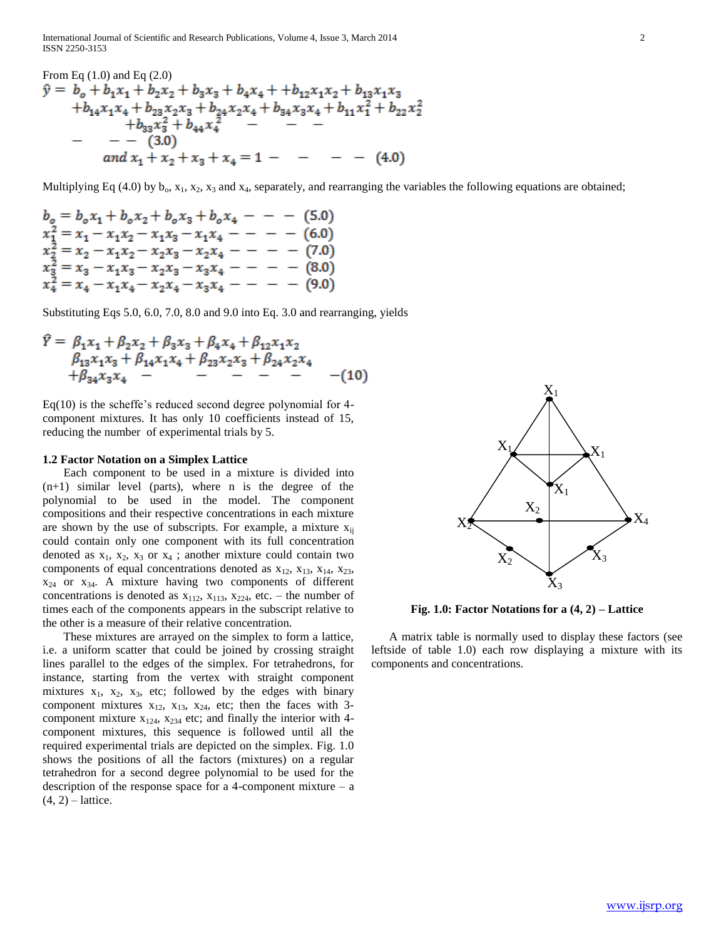International Journal of Scientific and Research Publications, Volume 4, Issue 3, March 2014 2 ISSN 2250-3153

From Eq (1.0) and Eq (2.0)  
\n
$$
\hat{y} = b_o + b_1x_1 + b_2x_2 + b_3x_3 + b_4x_4 + b_{12}x_1x_2 + b_{13}x_1x_3 + b_{14}x_1x_4 + b_{23}x_2x_3 + b_{24}x_2x_4 + b_{34}x_3x_4 + b_{11}x_1^2 + b_{22}x_2^2 + b_{33}x_3^2 + b_{44}x_4^2 - - - - - (3.0)
$$
\nand  $x_1 + x_2 + x_3 + x_4 = 1 - - - - (4.0)$ 

Multiplying Eq (4.0) by  $b_0$ ,  $x_1$ ,  $x_2$ ,  $x_3$  and  $x_4$ , separately, and rearranging the variables the following equations are obtained;

$$
b_o = b_o x_1 + b_o x_2 + b_o x_3 + b_o x_4 - - - (5.0)
$$
  
\n
$$
x_1^2 = x_1 - x_1 x_2 - x_1 x_3 - x_1 x_4 - - - - (6.0)
$$
  
\n
$$
x_2^2 = x_2 - x_1 x_2 - x_2 x_3 - x_2 x_4 - - - - (7.0)
$$
  
\n
$$
x_3^2 = x_3 - x_1 x_3 - x_2 x_3 - x_3 x_4 - - - - (8.0)
$$
  
\n
$$
x_4^2 = x_4 - x_1 x_4 - x_2 x_4 - x_3 x_4 - - - - (9.0)
$$

Substituting Eqs 5.0, 6.0, 7.0, 8.0 and 9.0 into Eq. 3.0 and rearranging, yields

$$
\tilde{Y} = \beta_1 x_1 + \beta_2 x_2 + \beta_3 x_3 + \beta_4 x_4 + \beta_{12} x_1 x_2 \n\beta_{13} x_1 x_3 + \beta_{14} x_1 x_4 + \beta_{23} x_2 x_3 + \beta_{24} x_2 x_4 \n+ \beta_{34} x_3 x_4 - \cdots - \cdots - \cdots - \cdots - \qquad (10)
$$

Eq(10) is the scheffe's reduced second degree polynomial for 4 component mixtures. It has only 10 coefficients instead of 15, reducing the number of experimental trials by 5.

#### **1.2 Factor Notation on a Simplex Lattice**

 Each component to be used in a mixture is divided into  $(n+1)$  similar level (parts), where n is the degree of the polynomial to be used in the model. The component compositions and their respective concentrations in each mixture are shown by the use of subscripts. For example, a mixture  $x_{ij}$ could contain only one component with its full concentration denoted as  $x_1$ ,  $x_2$ ,  $x_3$  or  $x_4$ ; another mixture could contain two components of equal concentrations denoted as  $x_{12}$ ,  $x_{13}$ ,  $x_{14}$ ,  $x_{23}$ ,  $x_{24}$  or  $x_{34}$ . A mixture having two components of different concentrations is denoted as  $x_{112}$ ,  $x_{113}$ ,  $x_{224}$ , etc. – the number of times each of the components appears in the subscript relative to the other is a measure of their relative concentration.

 These mixtures are arrayed on the simplex to form a lattice, i.e. a uniform scatter that could be joined by crossing straight lines parallel to the edges of the simplex. For tetrahedrons, for instance, starting from the vertex with straight component mixtures  $x_1$ ,  $x_2$ ,  $x_3$ , etc; followed by the edges with binary component mixtures  $x_{12}$ ,  $x_{13}$ ,  $x_{24}$ , etc; then the faces with 3component mixture  $x_{124}$ ,  $x_{234}$  etc; and finally the interior with 4component mixtures, this sequence is followed until all the required experimental trials are depicted on the simplex. Fig. 1.0 shows the positions of all the factors (mixtures) on a regular tetrahedron for a second degree polynomial to be used for the description of the response space for a 4-component mixture  $- a$  $(4, 2)$  – lattice.



**Fig. 1.0: Factor Notations for a (4, 2) – Lattice**

 A matrix table is normally used to display these factors (see leftside of table 1.0) each row displaying a mixture with its components and concentrations.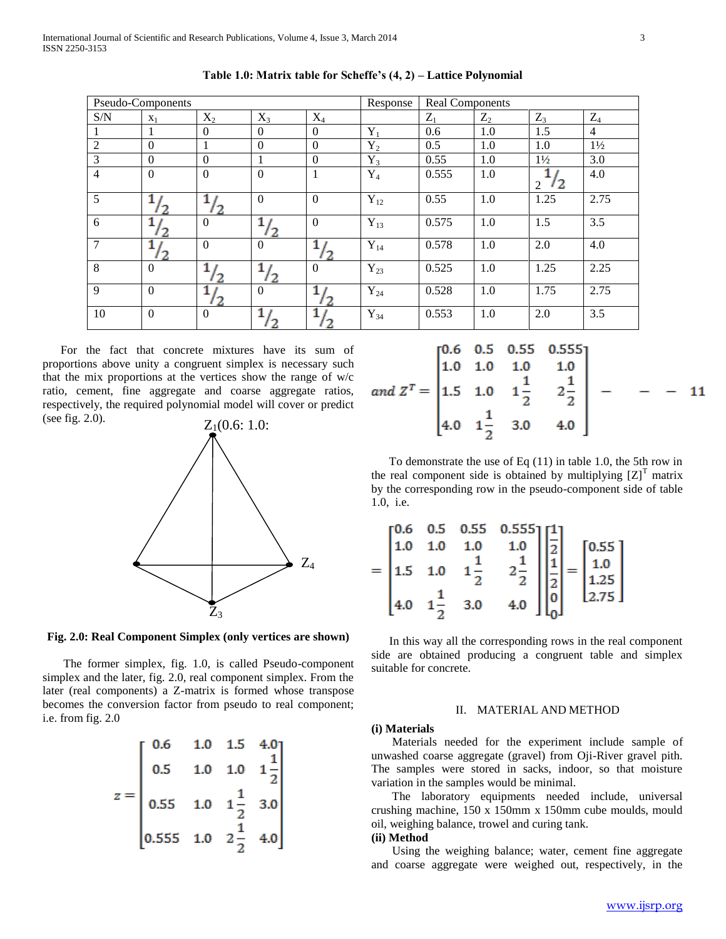|                | Pseudo-Components |                  |              |              | Response | <b>Real Components</b> |       |                              |                |  |
|----------------|-------------------|------------------|--------------|--------------|----------|------------------------|-------|------------------------------|----------------|--|
| S/N            | $X_1$             | $X_2$            | $X_3$        | $X_4$        |          | $Z_1$                  | $Z_2$ | $Z_3$                        | $Z_4$          |  |
| 1              |                   | $\Omega$         | $\theta$     | $\Omega$     | $Y_1$    | 0.6                    | 1.0   | 1.5                          | $\overline{4}$ |  |
| $\overline{2}$ | $\theta$          | 1                | $\theta$     | $\Omega$     | $Y_2$    | 0.5                    | 1.0   | 1.0                          | $1\frac{1}{2}$ |  |
| $\overline{3}$ | $\Omega$          | $\Omega$         |              | $\Omega$     | $Y_3$    | 0.55                   | 1.0   | $1\frac{1}{2}$               | 3.0            |  |
| $\overline{4}$ | $\boldsymbol{0}$  | $\boldsymbol{0}$ | $\mathbf{0}$ | 1            | $Y_4$    | 0.555                  | 1.0   | $\sqrt{2}$<br>$\mathfrak{D}$ | 4.0            |  |
| 5              |                   |                  | $\mathbf{0}$ | $\mathbf{0}$ | $Y_{12}$ | 0.55                   | 1.0   | 1.25                         | 2.75           |  |
| 6              |                   | $\Omega$         | 2            | $\Omega$     | $Y_{13}$ | 0.575                  | 1.0   | 1.5                          | 3.5            |  |
| $\overline{7}$ |                   | $\Omega$         | $\theta$     | 2            | $Y_{14}$ | 0.578                  | 1.0   | 2.0                          | 4.0            |  |
| 8              | $\overline{0}$    |                  |              | $\Omega$     | $Y_{23}$ | 0.525                  | 1.0   | 1.25                         | 2.25           |  |
| 9              | $\mathbf{0}$      |                  | $\Omega$     |              | $Y_{24}$ | 0.528                  | 1.0   | 1.75                         | 2.75           |  |
| 10             | $\boldsymbol{0}$  | $\Omega$         |              |              | $Y_{34}$ | 0.553                  | 1.0   | 2.0                          | 3.5            |  |

**Table 1.0: Matrix table for Scheffe's (4, 2) – Lattice Polynomial**

 For the fact that concrete mixtures have its sum of proportions above unity a congruent simplex is necessary such that the mix proportions at the vertices show the range of w/c ratio, cement, fine aggregate and coarse aggregate ratios, respectively, the required polynomial model will cover or predict (see fig. 2.0).



Fig. 2.0: Real Component Simplex (only vertices are shown)

 The former simplex, fig. 1.0, is called Pseudo-component simplex and the later, fig. 2.0, real component simplex. From the later (real components) a Z-matrix is formed whose transpose becomes the conversion factor from pseudo to real component; i.e. from fig. 2.0

| 0.6                                                        |     | $1.0$ $1.5$ $4.0$  |               |
|------------------------------------------------------------|-----|--------------------|---------------|
| 0.5                                                        | 1.0 | $1.0\,$            | $\frac{1}{2}$ |
| $0.55$ 1.0                                                 |     | $1\frac{1}{2}$ 3.0 |               |
| $\begin{bmatrix} 0.555 & 1.0 & 2\frac{1}{2} \end{bmatrix}$ |     |                    | 4.0           |

|                                                                                     |  | $\begin{bmatrix} 0.6 & 0.5 & 0.55 & 0.555 \\ 1.0 & 1.0 & 1.0 & 1.0 \end{bmatrix}$ |  |    |
|-------------------------------------------------------------------------------------|--|-----------------------------------------------------------------------------------|--|----|
| and $Z^T = \begin{bmatrix} 1.5 & 1.0 & 1 \frac{1}{2} & 2 \frac{1}{2} \end{bmatrix}$ |  |                                                                                   |  | 11 |
|                                                                                     |  | $4.0 \t1\frac{1}{2} \t3.0 \t4.0$                                                  |  |    |

 To demonstrate the use of Eq (11) in table 1.0, the 5th row in the real component side is obtained by multiplying  $[Z]$ <sup>T</sup> matrix by the corresponding row in the pseudo-component side of table 1.0, i.e.

|  |                                                           | $= \begin{bmatrix} 0.6 & 0.5 & 0.55 & 0.555 \\ 1.0 & 1.0 & 1.0 & 1.0 \\ 1.5 & 1.0 & 1 & 1 \\ 4.0 & 1 & 1 & 1.0 \\ 4.0 & 1 & 1 & 1.0 \\ 0 & 0 & 1 & 1 \end{bmatrix} \begin{bmatrix} 1 \\ 2 \\ 1 \\ 2 \\ 3 \\ 4 \end{bmatrix} = \begin{bmatrix} 0.55 \\ 1.0 \\ 1.25 \\ 2.75 \end{bmatrix}$ |  |  |
|--|-----------------------------------------------------------|------------------------------------------------------------------------------------------------------------------------------------------------------------------------------------------------------------------------------------------------------------------------------------------|--|--|
|  | $\begin{bmatrix} 4.0 & 1 \frac{1}{2} & 3.0 \end{bmatrix}$ |                                                                                                                                                                                                                                                                                          |  |  |

 In this way all the corresponding rows in the real component side are obtained producing a congruent table and simplex suitable for concrete.

## II. MATERIAL AND METHOD

#### **(i) Materials**

 Materials needed for the experiment include sample of unwashed coarse aggregate (gravel) from Oji-River gravel pith. The samples were stored in sacks, indoor, so that moisture variation in the samples would be minimal.

 The laboratory equipments needed include, universal crushing machine, 150 x 150mm x 150mm cube moulds, mould oil, weighing balance, trowel and curing tank.

# **(ii) Method**

 Using the weighing balance; water, cement fine aggregate and coarse aggregate were weighed out, respectively, in the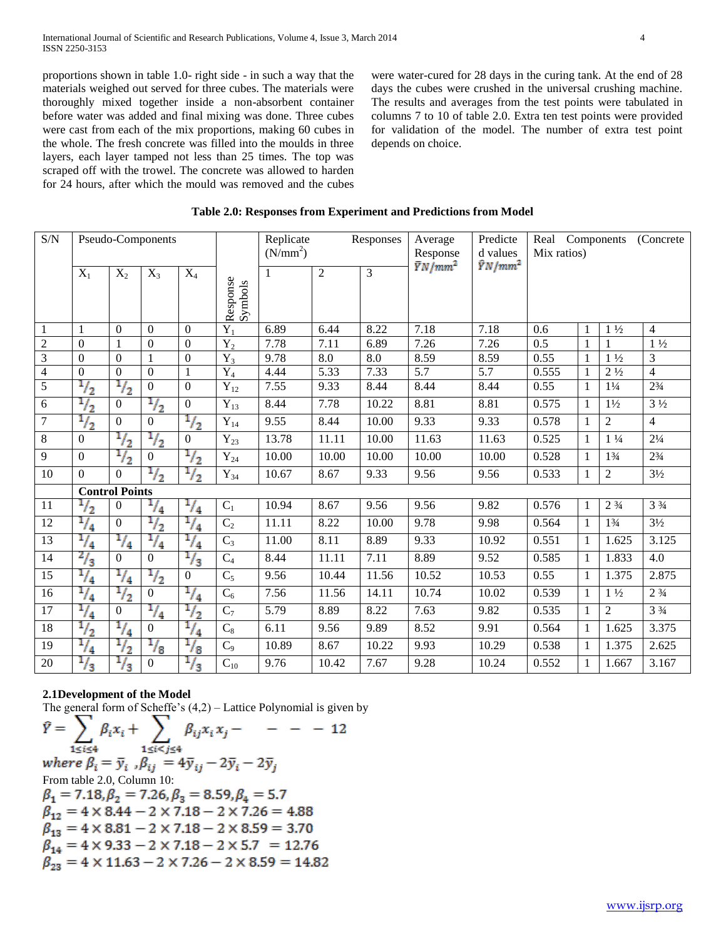proportions shown in table 1.0- right side - in such a way that the materials weighed out served for three cubes. The materials were thoroughly mixed together inside a non-absorbent container before water was added and final mixing was done. Three cubes were cast from each of the mix proportions, making 60 cubes in the whole. The fresh concrete was filled into the moulds in three layers, each layer tamped not less than 25 times. The top was scraped off with the trowel. The concrete was allowed to harden for 24 hours, after which the mould was removed and the cubes were water-cured for 28 days in the curing tank. At the end of 28 days the cubes were crushed in the universal crushing machine. The results and averages from the test points were tabulated in columns 7 to 10 of table 2.0. Extra ten test points were provided for validation of the model. The number of extra test point depends on choice.

| S/N            | Pseudo-Components |                       |                  |                  |                     | Replicate<br>Responses<br>(N/mm <sup>2</sup> ) |                |       | Average<br>Response | Predicte<br>d values | Real Components<br>(Concrete)<br>Mix ratios) |              |                               |                |
|----------------|-------------------|-----------------------|------------------|------------------|---------------------|------------------------------------------------|----------------|-------|---------------------|----------------------|----------------------------------------------|--------------|-------------------------------|----------------|
|                | $X_1$             | $X_2$                 | $X_3$            | $X_4$            | Response<br>Symbols | 1                                              | $\mathfrak{2}$ | 3     | $\bar{Y}N/mm^2$     | $\hat{Y}N/mm^2$      |                                              |              |                               |                |
|                | $\,1$             | $\mathbf{0}$          | $\boldsymbol{0}$ | $\boldsymbol{0}$ | $Y_1$               | 6.89                                           | 6.44           | 8.22  | 7.18                | 7.18                 | 0.6                                          |              | $1\frac{1}{2}$                | $\overline{4}$ |
| $\overline{2}$ | $\Omega$          |                       | $\overline{0}$   | $\Omega$         | $Y_2$               | 7.78                                           | 7.11           | 6.89  | 7.26                | 7.26                 | 0.5                                          |              | 1                             | $1\frac{1}{2}$ |
| $\overline{3}$ | $\Omega$          | $\Omega$              | $\mathbf{1}$     | $\Omega$         | $Y_3$               | 9.78                                           | 8.0            | 8.0   | 8.59                | 8.59                 | 0.55                                         | 1            | $1\frac{1}{2}$                | 3              |
| $\overline{4}$ | $\mathbf{0}$      | $\boldsymbol{0}$      | $\overline{0}$   | $\mathbf{1}$     | $Y_4$               | 4.44                                           | 5.33           | 7.33  | 5.7                 | 5.7                  | 0.555                                        |              | $2\frac{1}{2}$                | $\overline{4}$ |
| $\overline{5}$ | $^{1/2}$          | $^{1/2}$              | $\overline{0}$   | $\Omega$         | $Y_{12}$            | 7.55                                           | 9.33           | 8.44  | 8.44                | 8.44                 | 0.55                                         | 1            | $1\frac{1}{4}$                | $2\frac{3}{4}$ |
| 6              | $^{1/2}$          | $\mathbf{0}$          | $^{1/2}$         | $\overline{0}$   | $Y_{13}$            | 8.44                                           | 7.78           | 10.22 | 8.81                | 8.81                 | 0.575                                        | 1            | $1\frac{1}{2}$                | $3\frac{1}{2}$ |
| $\overline{7}$ | $^{1/2}$          | $\Omega$              | $\mathbf{0}$     | $^{1/2}$         | $Y_{14}$            | 9.55                                           | 8.44           | 10.00 | 9.33                | 9.33                 | 0.578                                        | 1            | $\overline{2}$                | $\overline{4}$ |
| 8              | $\boldsymbol{0}$  | $^{1/2}$              | $^{1/2}$         | $\overline{0}$   | $Y_{23}$            | 13.78                                          | 11.11          | 10.00 | 11.63               | 11.63                | 0.525                                        | 1            | $1\frac{1}{4}$                | $2\frac{1}{4}$ |
| 9              | $\boldsymbol{0}$  | $^{1/2}$              | $\mathbf{0}$     | $^{1/2}$         | $Y_{24}$            | 10.00                                          | 10.00          | 10.00 | 10.00               | 10.00                | 0.528                                        | 1            | $1\frac{3}{4}$                | $2\frac{3}{4}$ |
| 10             | $\boldsymbol{0}$  | $\mathbf{0}$          | $^{1/2}$         | $\frac{1}{2}$    | $Y_{34}$            | 10.67                                          | 8.67           | 9.33  | 9.56                | 9.56                 | 0.533                                        | 1            | 2                             | $3\frac{1}{2}$ |
|                |                   | <b>Control Points</b> |                  |                  |                     |                                                |                |       |                     |                      |                                              |              |                               |                |
| 11             | $^{1/2}$          | $\Omega$              | $^{1/4}$         | $^{1/4}$         | $C_1$               | 10.94                                          | 8.67           | 9.56  | 9.56                | 9.82                 | 0.576                                        | 1            | 2 <sup>3</sup> / <sub>4</sub> | $3\frac{3}{4}$ |
| 12             | $^{1/4}$          | $\overline{0}$        | $^{1/2}$         | $\frac{1}{4}$    | C <sub>2</sub>      | 11.11                                          | 8.22           | 10.00 | 9.78                | 9.98                 | 0.564                                        | $\mathbf{1}$ | $1\frac{3}{4}$                | $3\frac{1}{2}$ |
| 13             | $^{1/4}$          | $\frac{1}{4}$         | $\frac{1}{4}$    | $\frac{1}{4}$    | $C_3$               | 11.00                                          | 8.11           | 8.89  | 9.33                | 10.92                | 0.551                                        | 1            | 1.625                         | 3.125          |
| 14             | $^{2}/_{3}$       | $\Omega$              | $\mathbf{0}$     | $\frac{1}{3}$    | $C_4$               | 8.44                                           | 11.11          | 7.11  | 8.89                | 9.52                 | 0.585                                        | $\mathbf{1}$ | 1.833                         | 4.0            |
| 15             | $^{1/4}$          | $\frac{1}{4}$         | $^{1/2}$         | $\mathbf{0}$     | $C_5$               | 9.56                                           | 10.44          | 11.56 | 10.52               | 10.53                | 0.55                                         | 1            | 1.375                         | 2.875          |
| 16             | $^{1/4}$          | $^{1/2}$              | $\boldsymbol{0}$ | $^{1/4}$         | $C_6$               | 7.56                                           | 11.56          | 14.11 | 10.74               | 10.02                | 0.539                                        | 1            | $1\frac{1}{2}$                | $2\frac{3}{4}$ |
| 17             | $^{1/4}$          | $\mathbf{0}$          | $^{1/4}$         | $^{1/2}$         | $C_7$               | 5.79                                           | 8.89           | 8.22  | 7.63                | 9.82                 | 0.535                                        | 1            | $\overline{2}$                | $3\frac{3}{4}$ |
| 18             | $^{1/2}$          | $^{1/4}$              | $\boldsymbol{0}$ | $^{1/4}$         | $C_8$               | 6.11                                           | 9.56           | 9.89  | 8.52                | 9.91                 | 0.564                                        | 1            | 1.625                         | 3.375          |
| 19             | $^{1/4}$          | $^{1/2}$              | $^{1/3}$         | $^{1/3}$         | $C_9$               | 10.89                                          | 8.67           | 10.22 | 9.93                | 10.29                | 0.538                                        | 1            | 1.375                         | 2.625          |
| 20             | $^{1/3}$          | $^{1/3}$              | $\boldsymbol{0}$ | $\frac{1}{3}$    | $C_{10}$            | 9.76                                           | 10.42          | 7.67  | 9.28                | 10.24                | 0.552                                        |              | 1.667                         | 3.167          |

# **2.1Development of the Model**

The general form of Scheffe's  $(4,2)$  – Lattice Polynomial is given by

$$
\hat{Y} = \sum_{1 \le i \le 4} \beta_i x_i + \sum_{1 \le i < j \le 4} \beta_{ij} x_i x_j - - - - 12
$$
\nwhere  $\beta_i = \bar{y}_i$ ,  $\beta_{ij} = 4\bar{y}_{ij} - 2\bar{y}_i - 2\bar{y}_j$   
\nFrom table 2.0, Column 10:  
\n $\beta_1 = 7.18, \beta_2 = 7.26, \beta_3 = 8.59, \beta_4 = 5.7$   
\n $\beta_{12} = 4 \times 8.44 - 2 \times 7.18 - 2 \times 7.26 = 4.88$   
\n $\beta_{13} = 4 \times 8.81 - 2 \times 7.18 - 2 \times 8.59 = 3.70$   
\n $\beta_{14} = 4 \times 9.33 - 2 \times 7.18 - 2 \times 5.7 = 12.76$   
\n $\beta_{23} = 4 \times 11.63 - 2 \times 7.26 - 2 \times 8.59 = 14.82$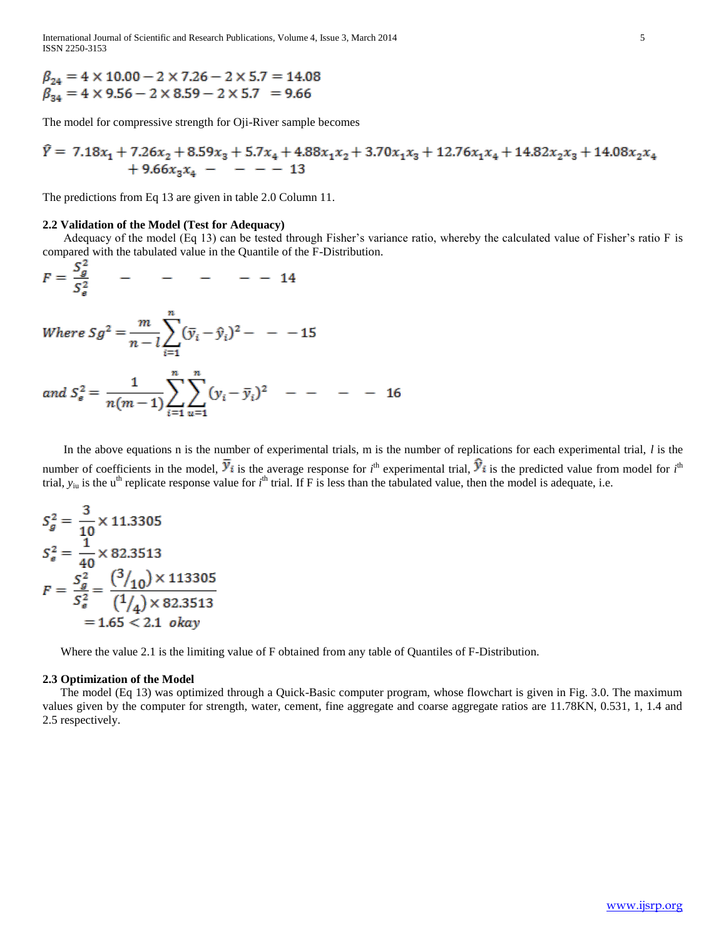International Journal of Scientific and Research Publications, Volume 4, Issue 3, March 2014 5 ISSN 2250-3153

 $\beta_{24} = 4 \times 10.00 - 2 \times 7.26 - 2 \times 5.7 = 14.08$ <br>  $\beta_{34} = 4 \times 9.56 - 2 \times 8.59 - 2 \times 5.7 = 9.66$ 

The model for compressive strength for Oji-River sample becomes

$$
\hat{Y} = 7.18x_1 + 7.26x_2 + 8.59x_3 + 5.7x_4 + 4.88x_1x_2 + 3.70x_1x_3 + 12.76x_1x_4 + 14.82x_2x_3 + 14.08x_2x_4 + 9.66x_3x_4 - - - - 13
$$

The predictions from Eq 13 are given in table 2.0 Column 11.

#### **2.2 Validation of the Model (Test for Adequacy)**

 Adequacy of the model (Eq 13) can be tested through Fisher's variance ratio, whereby the calculated value of Fisher's ratio F is compared with the tabulated value in the Quantile of the F-Distribution.

$$
F = \frac{S_g^2}{S_g^2} \qquad - \qquad - \qquad - \qquad - \qquad 14
$$

 $\overline{a}$ 

Where 
$$
Sg^2 = \frac{m}{n-l} \sum_{i=1}^{n} (\bar{y}_i - \hat{y}_i)^2 - - -15
$$

and 
$$
S_e^2 = \frac{1}{n(m-1)} \sum_{i=1}^n \sum_{u=1}^n (y_i - \bar{y}_i)^2
$$
 - - - - 16

 In the above equations n is the number of experimental trials, m is the number of replications for each experimental trial, *l* is the number of coefficients in the model,  $y_i$  is the average response for *i*<sup>th</sup> experimental trial,  $y_i$  is the predicted value from model for *i*<sup>th</sup> trial,  $y_{iu}$  is the u<sup>th</sup> replicate response value for  $i<sup>th</sup>$  trial. If F is less than the tabulated value, then the model is adequate, i.e.

$$
S_g^2 = \frac{3}{10} \times 11.3305
$$
  
\n
$$
S_g^2 = \frac{1}{40} \times 82.3513
$$
  
\n
$$
F = \frac{S_g^2}{S_g^2} = \frac{\left(\frac{3}{10}\right) \times 113305}{\left(\frac{1}{4}\right) \times 82.3513}
$$
  
\n= 1.65 < 2.1 *okay*

Where the value 2.1 is the limiting value of F obtained from any table of Quantiles of F-Distribution.

## **2.3 Optimization of the Model**

 The model (Eq 13) was optimized through a Quick-Basic computer program, whose flowchart is given in Fig. 3.0. The maximum values given by the computer for strength, water, cement, fine aggregate and coarse aggregate ratios are 11.78KN, 0.531, 1, 1.4 and 2.5 respectively.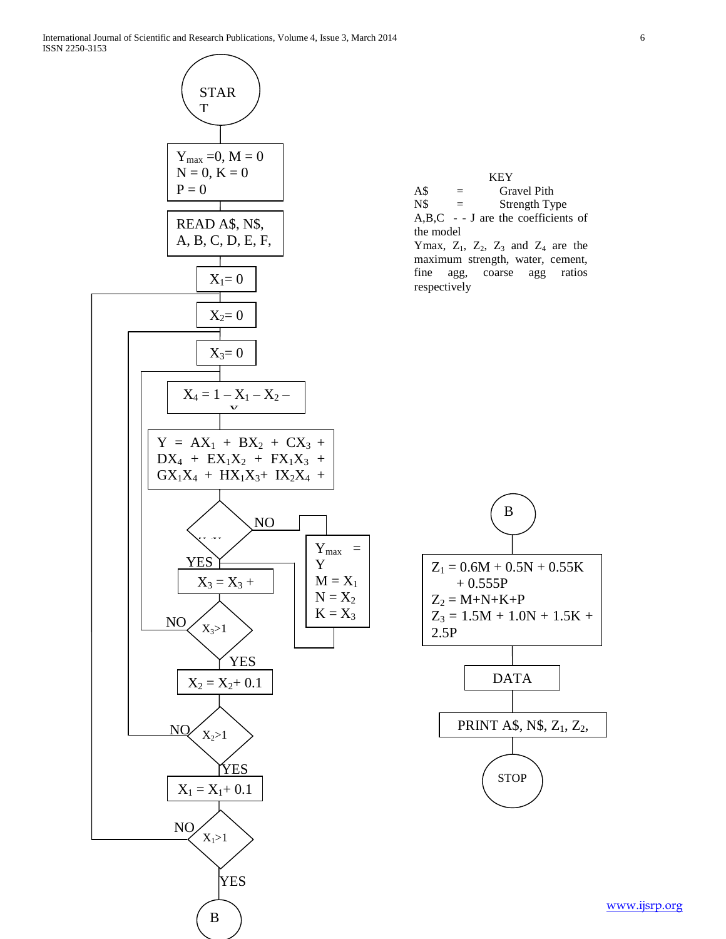

[www.ijsrp.org](http://ijsrp.org/)